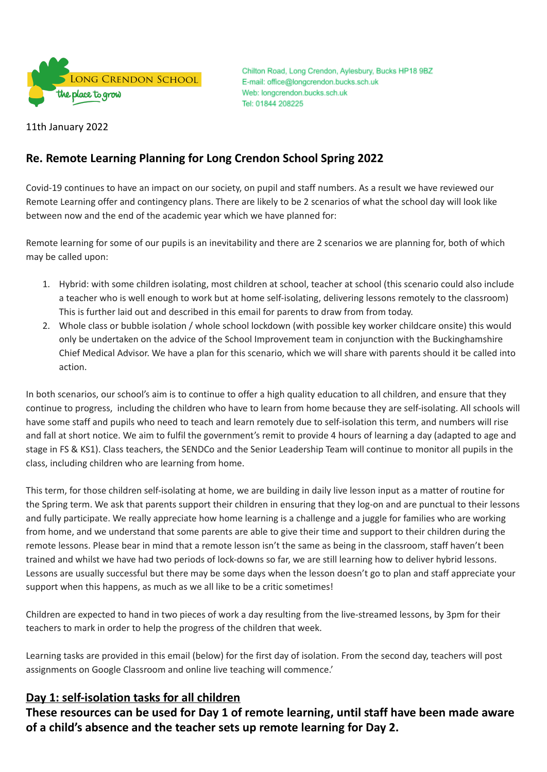

Chilton Road, Long Crendon, Aylesbury, Bucks HP18 9BZ E-mail: office@longcrendon.bucks.sch.uk Web: longcrendon.bucks.sch.uk Tel: 01844 208225

11th January 2022

# **Re. Remote Learning Planning for Long Crendon School Spring 2022**

Covid-19 continues to have an impact on our society, on pupil and staff numbers. As a result we have reviewed our Remote Learning offer and contingency plans. There are likely to be 2 scenarios of what the school day will look like between now and the end of the academic year which we have planned for:

Remote learning for some of our pupils is an inevitability and there are 2 scenarios we are planning for, both of which may be called upon:

- 1. Hybrid: with some children isolating, most children at school, teacher at school (this scenario could also include a teacher who is well enough to work but at home self-isolating, delivering lessons remotely to the classroom) This is further laid out and described in this email for parents to draw from from today.
- 2. Whole class or bubble isolation / whole school lockdown (with possible key worker childcare onsite) this would only be undertaken on the advice of the School Improvement team in conjunction with the Buckinghamshire Chief Medical Advisor. We have a plan for this scenario, which we will share with parents should it be called into action.

In both scenarios, our school's aim is to continue to offer a high quality education to all children, and ensure that they continue to progress, including the children who have to learn from home because they are self-isolating. All schools will have some staff and pupils who need to teach and learn remotely due to self-isolation this term, and numbers will rise and fall at short notice. We aim to fulfil the government's remit to provide 4 hours of learning a day (adapted to age and stage in FS & KS1). Class teachers, the SENDCo and the Senior Leadership Team will continue to monitor all pupils in the class, including children who are learning from home.

This term, for those children self-isolating at home, we are building in daily live lesson input as a matter of routine for the Spring term. We ask that parents support their children in ensuring that they log-on and are punctual to their lessons and fully participate. We really appreciate how home learning is a challenge and a juggle for families who are working from home, and we understand that some parents are able to give their time and support to their children during the remote lessons. Please bear in mind that a remote lesson isn't the same as being in the classroom, staff haven't been trained and whilst we have had two periods of lock-downs so far, we are still learning how to deliver hybrid lessons. Lessons are usually successful but there may be some days when the lesson doesn't go to plan and staff appreciate your support when this happens, as much as we all like to be a critic sometimes!

Children are expected to hand in two pieces of work a day resulting from the live-streamed lessons, by 3pm for their teachers to mark in order to help the progress of the children that week.

Learning tasks are provided in this email (below) for the first day of isolation. From the second day, teachers will post assignments on Google Classroom and online live teaching will commence.'

# **Day 1: self-isolation tasks for all children**

**These resources can be used for Day 1 of remote learning, until staff have been made aware of a child's absence and the teacher sets up remote learning for Day 2.**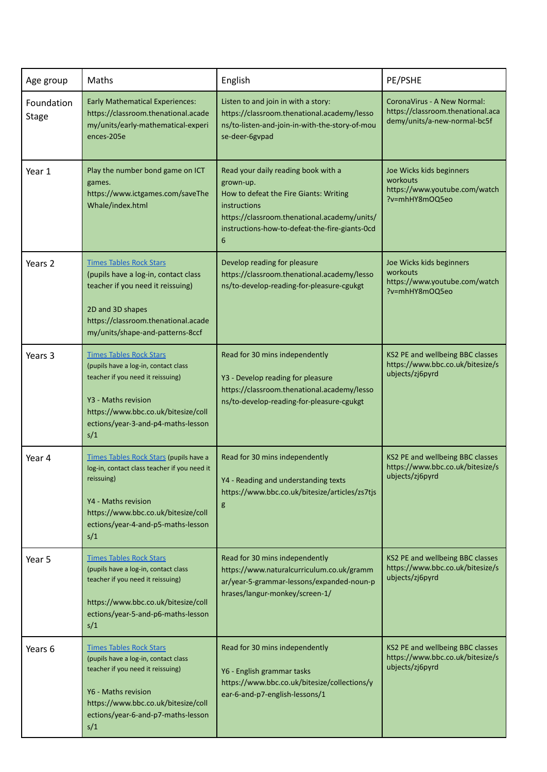| Age group                  | Maths                                                                                                                                                                                                                  | English                                                                                                                                                                                                           | PE/PSHE                                                                                          |  |
|----------------------------|------------------------------------------------------------------------------------------------------------------------------------------------------------------------------------------------------------------------|-------------------------------------------------------------------------------------------------------------------------------------------------------------------------------------------------------------------|--------------------------------------------------------------------------------------------------|--|
| Foundation<br><b>Stage</b> | <b>Early Mathematical Experiences:</b><br>https://classroom.thenational.acade<br>my/units/early-mathematical-experi<br>ences-205e                                                                                      | Listen to and join in with a story:<br>https://classroom.thenational.academy/lesso<br>ns/to-listen-and-join-in-with-the-story-of-mou<br>se-deer-6gvpad                                                            | CoronaVirus - A New Normal:<br>https://classroom.thenational.aca<br>demy/units/a-new-normal-bc5f |  |
| Year 1                     | Play the number bond game on ICT<br>games.<br>https://www.ictgames.com/saveThe<br>Whale/index.html                                                                                                                     | Read your daily reading book with a<br>grown-up.<br>How to defeat the Fire Giants: Writing<br>instructions<br>https://classroom.thenational.academy/units/<br>instructions-how-to-defeat-the-fire-giants-0cd<br>6 | Joe Wicks kids beginners<br>workouts<br>https://www.youtube.com/watch<br>?v=mhHY8mOQ5eo          |  |
| Years 2                    | <b>Times Tables Rock Stars</b><br>(pupils have a log-in, contact class<br>teacher if you need it reissuing)<br>2D and 3D shapes<br>https://classroom.thenational.acade<br>my/units/shape-and-patterns-8ccf             | Develop reading for pleasure<br>https://classroom.thenational.academy/lesso<br>ns/to-develop-reading-for-pleasure-cgukgt                                                                                          | Joe Wicks kids beginners<br>workouts<br>https://www.youtube.com/watch<br>?v=mhHY8mOQ5eo          |  |
| Years 3                    | <b>Times Tables Rock Stars</b><br>(pupils have a log-in, contact class<br>teacher if you need it reissuing)<br>Y3 - Maths revision<br>https://www.bbc.co.uk/bitesize/coll<br>ections/year-3-and-p4-maths-lesson<br>s/1 | Read for 30 mins independently<br>Y3 - Develop reading for pleasure<br>https://classroom.thenational.academy/lesso<br>ns/to-develop-reading-for-pleasure-cgukgt                                                   | KS2 PE and wellbeing BBC classes<br>https://www.bbc.co.uk/bitesize/s<br>ubjects/zj6pyrd          |  |
| Year 4                     | Times Tables Rock Stars (pupils have a<br>log-in, contact class teacher if you need it<br>reissuing)<br>Y4 - Maths revision<br>https://www.bbc.co.uk/bitesize/coll<br>ections/year-4-and-p5-maths-lesson<br>s/1        | Read for 30 mins independently<br>Y4 - Reading and understanding texts<br>https://www.bbc.co.uk/bitesize/articles/zs7tjs<br>g                                                                                     | KS2 PE and wellbeing BBC classes<br>https://www.bbc.co.uk/bitesize/s<br>ubjects/zj6pyrd          |  |
| Year 5                     | <b>Times Tables Rock Stars</b><br>(pupils have a log-in, contact class<br>teacher if you need it reissuing)<br>https://www.bbc.co.uk/bitesize/coll<br>ections/year-5-and-p6-maths-lesson<br>s/1                        | Read for 30 mins independently<br>https://www.naturalcurriculum.co.uk/gramm<br>ar/year-5-grammar-lessons/expanded-noun-p<br>hrases/langur-monkey/screen-1/                                                        | KS2 PE and wellbeing BBC classes<br>https://www.bbc.co.uk/bitesize/s<br>ubjects/zj6pyrd          |  |
| Years 6                    | <b>Times Tables Rock Stars</b><br>(pupils have a log-in, contact class<br>teacher if you need it reissuing)<br>Y6 - Maths revision<br>https://www.bbc.co.uk/bitesize/coll<br>ections/year-6-and-p7-maths-lesson<br>s/1 | Read for 30 mins independently<br>Y6 - English grammar tasks<br>https://www.bbc.co.uk/bitesize/collections/y<br>ear-6-and-p7-english-lessons/1                                                                    | KS2 PE and wellbeing BBC classes<br>https://www.bbc.co.uk/bitesize/s<br>ubjects/zj6pyrd          |  |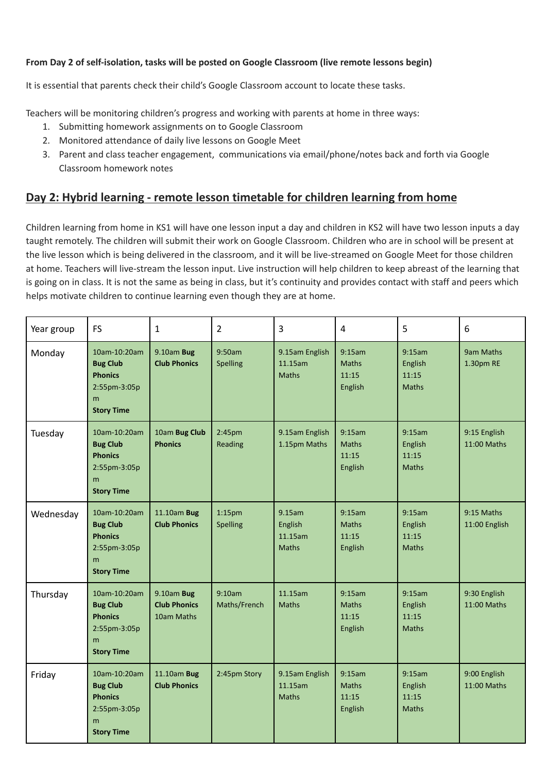## **From Day 2 of self-isolation, tasks will be posted on Google Classroom (live remote lessons begin)**

It is essential that parents check their child's Google Classroom account to locate these tasks.

Teachers will be monitoring children's progress and working with parents at home in three ways:

- 1. Submitting homework assignments on to Google Classroom
- 2. Monitored attendance of daily live lessons on Google Meet
- 3. Parent and class teacher engagement, communications via email/phone/notes back and forth via Google Classroom homework notes

# **Day 2: Hybrid learning - remote lesson timetable for children learning from home**

Children learning from home in KS1 will have one lesson input a day and children in KS2 will have two lesson inputs a day taught remotely. The children will submit their work on Google Classroom. Children who are in school will be present at the live lesson which is being delivered in the classroom, and it will be live-streamed on Google Meet for those children at home. Teachers will live-stream the lesson input. Live instruction will help children to keep abreast of the learning that is going on in class. It is not the same as being in class, but it's continuity and provides contact with staff and peers which helps motivate children to continue learning even though they are at home.

| Year group | <b>FS</b>                                                                                   | $\mathbf{1}$                                    | $\overline{2}$                 | 3                                            | 4                                          | 5                                          | 6                           |
|------------|---------------------------------------------------------------------------------------------|-------------------------------------------------|--------------------------------|----------------------------------------------|--------------------------------------------|--------------------------------------------|-----------------------------|
| Monday     | 10am-10:20am<br><b>Bug Club</b><br><b>Phonics</b><br>2:55pm-3:05p<br>m<br><b>Story Time</b> | 9.10am Bug<br><b>Club Phonics</b>               | 9:50am<br>Spelling             | 9.15am English<br>11.15am<br><b>Maths</b>    | 9:15am<br><b>Maths</b><br>11:15<br>English | 9:15am<br>English<br>11:15<br><b>Maths</b> | 9am Maths<br>1.30pm RE      |
| Tuesday    | 10am-10:20am<br><b>Bug Club</b><br><b>Phonics</b><br>2:55pm-3:05p<br>m<br><b>Story Time</b> | 10am Bug Club<br><b>Phonics</b>                 | 2:45 <sub>pm</sub><br>Reading  | 9.15am English<br>1.15pm Maths               | 9:15am<br><b>Maths</b><br>11:15<br>English | 9:15am<br>English<br>11:15<br><b>Maths</b> | 9:15 English<br>11:00 Maths |
| Wednesday  | 10am-10:20am<br><b>Bug Club</b><br><b>Phonics</b><br>2:55pm-3:05p<br>m<br><b>Story Time</b> | 11.10am Bug<br><b>Club Phonics</b>              | 1:15 <sub>pm</sub><br>Spelling | 9.15am<br>English<br>11.15am<br><b>Maths</b> | 9:15am<br><b>Maths</b><br>11:15<br>English | 9:15am<br>English<br>11:15<br><b>Maths</b> | 9:15 Maths<br>11:00 English |
| Thursday   | 10am-10:20am<br><b>Bug Club</b><br><b>Phonics</b><br>2:55pm-3:05p<br>m<br><b>Story Time</b> | 9.10am Bug<br><b>Club Phonics</b><br>10am Maths | 9:10am<br>Maths/French         | 11.15am<br><b>Maths</b>                      | 9:15am<br><b>Maths</b><br>11:15<br>English | 9:15am<br>English<br>11:15<br><b>Maths</b> | 9:30 English<br>11:00 Maths |
| Friday     | 10am-10:20am<br><b>Bug Club</b><br><b>Phonics</b><br>2:55pm-3:05p<br>m<br><b>Story Time</b> | 11.10am Bug<br><b>Club Phonics</b>              | 2:45pm Story                   | 9.15am English<br>11.15am<br><b>Maths</b>    | 9:15am<br><b>Maths</b><br>11:15<br>English | 9:15am<br>English<br>11:15<br><b>Maths</b> | 9:00 English<br>11:00 Maths |